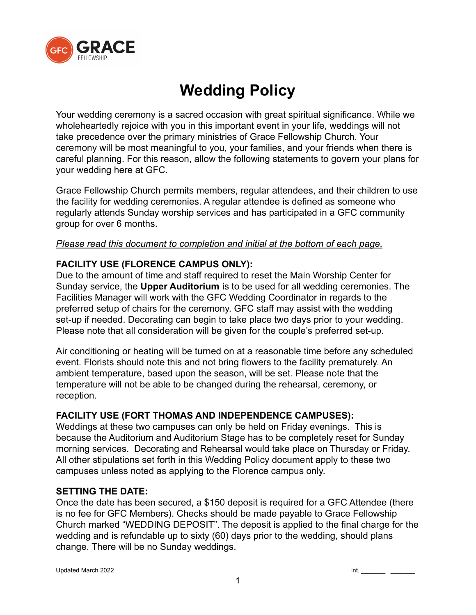

# **Wedding Policy**

Your wedding ceremony is a sacred occasion with great spiritual significance. While we wholeheartedly rejoice with you in this important event in your life, weddings will not take precedence over the primary ministries of Grace Fellowship Church. Your ceremony will be most meaningful to you, your families, and your friends when there is careful planning. For this reason, allow the following statements to govern your plans for your wedding here at GFC.

Grace Fellowship Church permits members, regular attendees, and their children to use the facility for wedding ceremonies. A regular attendee is defined as someone who regularly attends Sunday worship services and has participated in a GFC community group for over 6 months.

## *Please read this document to completion and initial at the bottom of each page.*

# **FACILITY USE (FLORENCE CAMPUS ONLY):**

Due to the amount of time and staff required to reset the Main Worship Center for Sunday service, the **Upper Auditorium** is to be used for all wedding ceremonies. The Facilities Manager will work with the GFC Wedding Coordinator in regards to the preferred setup of chairs for the ceremony. GFC staff may assist with the wedding set-up if needed. Decorating can begin to take place two days prior to your wedding. Please note that all consideration will be given for the couple's preferred set-up.

Air conditioning or heating will be turned on at a reasonable time before any scheduled event. Florists should note this and not bring flowers to the facility prematurely. An ambient temperature, based upon the season, will be set. Please note that the temperature will not be able to be changed during the rehearsal, ceremony, or reception.

# **FACILITY USE (FORT THOMAS AND INDEPENDENCE CAMPUSES):**

Weddings at these two campuses can only be held on Friday evenings. This is because the Auditorium and Auditorium Stage has to be completely reset for Sunday morning services. Decorating and Rehearsal would take place on Thursday or Friday. All other stipulations set forth in this Wedding Policy document apply to these two campuses unless noted as applying to the Florence campus only.

# **SETTING THE DATE:**

Once the date has been secured, a \$150 deposit is required for a GFC Attendee (there is no fee for GFC Members). Checks should be made payable to Grace Fellowship Church marked "WEDDING DEPOSIT". The deposit is applied to the final charge for the wedding and is refundable up to sixty (60) days prior to the wedding, should plans change. There will be no Sunday weddings.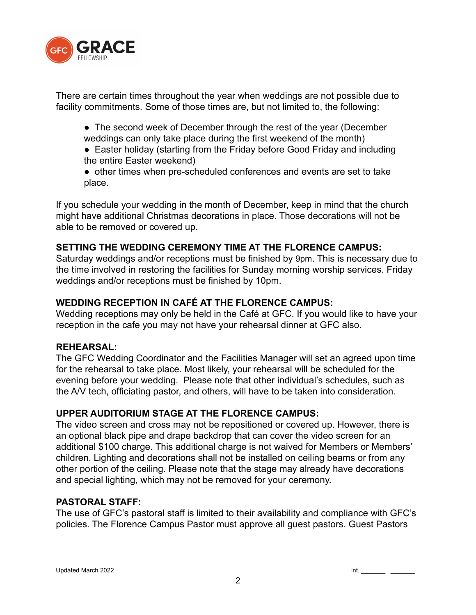

There are certain times throughout the year when weddings are not possible due to facility commitments. Some of those times are, but not limited to, the following:

- The second week of December through the rest of the year (December weddings can only take place during the first weekend of the month)
- Easter holiday (starting from the Friday before Good Friday and including the entire Easter weekend)
- other times when pre-scheduled conferences and events are set to take place.

If you schedule your wedding in the month of December, keep in mind that the church might have additional Christmas decorations in place. Those decorations will not be able to be removed or covered up.

## **SETTING THE WEDDING CEREMONY TIME AT THE FLORENCE CAMPUS:**

Saturday weddings and/or receptions must be finished by 9pm. This is necessary due to the time involved in restoring the facilities for Sunday morning worship services. Friday weddings and/or receptions must be finished by 10pm.

## **WEDDING RECEPTION IN CAFÉ AT THE FLORENCE CAMPUS:**

Wedding receptions may only be held in the Café at GFC. If you would like to have your reception in the cafe you may not have your rehearsal dinner at GFC also.

### **REHEARSAL:**

The GFC Wedding Coordinator and the Facilities Manager will set an agreed upon time for the rehearsal to take place. Most likely, your rehearsal will be scheduled for the evening before your wedding. Please note that other individual's schedules, such as the A/V tech, officiating pastor, and others, will have to be taken into consideration.

# **UPPER AUDITORIUM STAGE AT THE FLORENCE CAMPUS:**

The video screen and cross may not be repositioned or covered up. However, there is an optional black pipe and drape backdrop that can cover the video screen for an additional \$100 charge. This additional charge is not waived for Members or Members' children. Lighting and decorations shall not be installed on ceiling beams or from any other portion of the ceiling. Please note that the stage may already have decorations and special lighting, which may not be removed for your ceremony.

### **PASTORAL STAFF:**

The use of GFC's pastoral staff is limited to their availability and compliance with GFC's policies. The Florence Campus Pastor must approve all guest pastors. Guest Pastors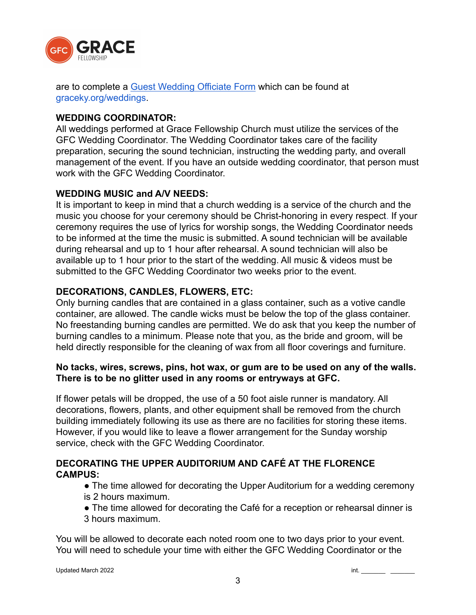

are to complete a [Guest Wedding Officiate Form](https://mygfc.ccbchurch.com/goto/forms/85/responses/new) which can be found at graceky.org/weddings.

## **WEDDING COORDINATOR:**

All weddings performed at Grace Fellowship Church must utilize the services of the GFC Wedding Coordinator. The Wedding Coordinator takes care of the facility preparation, securing the sound technician, instructing the wedding party, and overall management of the event. If you have an outside wedding coordinator, that person must work with the GFC Wedding Coordinator.

### **WEDDING MUSIC and A/V NEEDS:**

It is important to keep in mind that a church wedding is a service of the church and the music you choose for your ceremony should be Christ-honoring in every respect. If your ceremony requires the use of lyrics for worship songs, the Wedding Coordinator needs to be informed at the time the music is submitted. A sound technician will be available during rehearsal and up to 1 hour after rehearsal. A sound technician will also be available up to 1 hour prior to the start of the wedding. All music & videos must be submitted to the GFC Wedding Coordinator two weeks prior to the event.

# **DECORATIONS, CANDLES, FLOWERS, ETC:**

Only burning candles that are contained in a glass container, such as a votive candle container, are allowed. The candle wicks must be below the top of the glass container. No freestanding burning candles are permitted. We do ask that you keep the number of burning candles to a minimum. Please note that you, as the bride and groom, will be held directly responsible for the cleaning of wax from all floor coverings and furniture.

## **No tacks, wires, screws, pins, hot wax, or gum are to be used on any of the walls. There is to be no glitter used in any rooms or entryways at GFC.**

If flower petals will be dropped, the use of a 50 foot aisle runner is mandatory. All decorations, flowers, plants, and other equipment shall be removed from the church building immediately following its use as there are no facilities for storing these items. However, if you would like to leave a flower arrangement for the Sunday worship service, check with the GFC Wedding Coordinator.

# **DECORATING THE UPPER AUDITORIUM AND CAFÉ AT THE FLORENCE CAMPUS:**

- The time allowed for decorating the Upper Auditorium for a wedding ceremony is 2 hours maximum.
- The time allowed for decorating the Café for a reception or rehearsal dinner is 3 hours maximum.

You will be allowed to decorate each noted room one to two days prior to your event. You will need to schedule your time with either the GFC Wedding Coordinator or the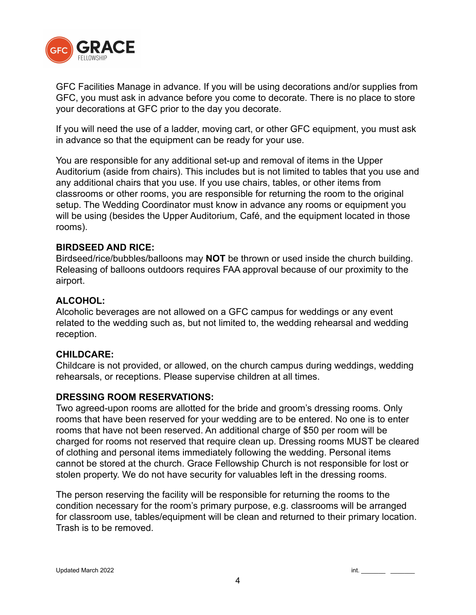

GFC Facilities Manage in advance. If you will be using decorations and/or supplies from GFC, you must ask in advance before you come to decorate. There is no place to store your decorations at GFC prior to the day you decorate.

If you will need the use of a ladder, moving cart, or other GFC equipment, you must ask in advance so that the equipment can be ready for your use.

You are responsible for any additional set-up and removal of items in the Upper Auditorium (aside from chairs). This includes but is not limited to tables that you use and any additional chairs that you use. If you use chairs, tables, or other items from classrooms or other rooms, you are responsible for returning the room to the original setup. The Wedding Coordinator must know in advance any rooms or equipment you will be using (besides the Upper Auditorium, Café, and the equipment located in those rooms).

#### **BIRDSEED AND RICE:**

Birdseed/rice/bubbles/balloons may **NOT** be thrown or used inside the church building. Releasing of balloons outdoors requires FAA approval because of our proximity to the airport.

### **ALCOHOL:**

Alcoholic beverages are not allowed on a GFC campus for weddings or any event related to the wedding such as, but not limited to, the wedding rehearsal and wedding reception.

#### **CHILDCARE:**

Childcare is not provided, or allowed, on the church campus during weddings, wedding rehearsals, or receptions. Please supervise children at all times.

#### **DRESSING ROOM RESERVATIONS:**

Two agreed-upon rooms are allotted for the bride and groom's dressing rooms. Only rooms that have been reserved for your wedding are to be entered. No one is to enter rooms that have not been reserved. An additional charge of \$50 per room will be charged for rooms not reserved that require clean up. Dressing rooms MUST be cleared of clothing and personal items immediately following the wedding. Personal items cannot be stored at the church. Grace Fellowship Church is not responsible for lost or stolen property. We do not have security for valuables left in the dressing rooms.

The person reserving the facility will be responsible for returning the rooms to the condition necessary for the room's primary purpose, e.g. classrooms will be arranged for classroom use, tables/equipment will be clean and returned to their primary location. Trash is to be removed.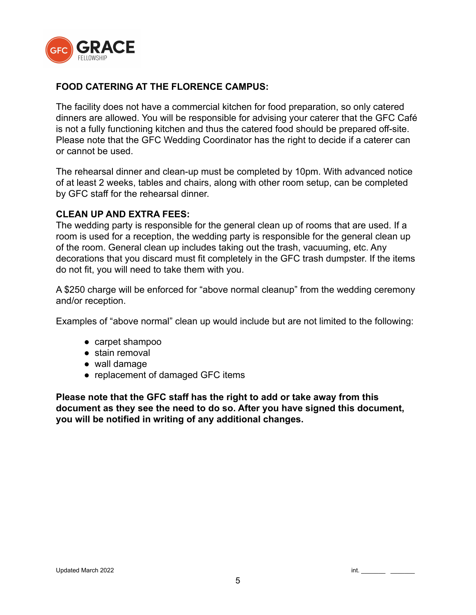

## **FOOD CATERING AT THE FLORENCE CAMPUS:**

The facility does not have a commercial kitchen for food preparation, so only catered dinners are allowed. You will be responsible for advising your caterer that the GFC Café is not a fully functioning kitchen and thus the catered food should be prepared off-site. Please note that the GFC Wedding Coordinator has the right to decide if a caterer can or cannot be used.

The rehearsal dinner and clean-up must be completed by 10pm. With advanced notice of at least 2 weeks, tables and chairs, along with other room setup, can be completed by GFC staff for the rehearsal dinner.

### **CLEAN UP AND EXTRA FEES:**

The wedding party is responsible for the general clean up of rooms that are used. If a room is used for a reception, the wedding party is responsible for the general clean up of the room. General clean up includes taking out the trash, vacuuming, etc. Any decorations that you discard must fit completely in the GFC trash dumpster. If the items do not fit, you will need to take them with you.

A \$250 charge will be enforced for "above normal cleanup" from the wedding ceremony and/or reception.

Examples of "above normal" clean up would include but are not limited to the following:

- carpet shampoo
- stain removal
- wall damage
- replacement of damaged GFC items

**Please note that the GFC staff has the right to add or take away from this document as they see the need to do so. After you have signed this document, you will be notified in writing of any additional changes.**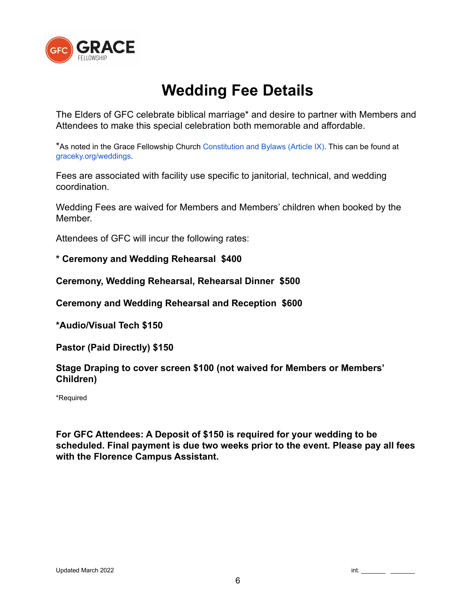

# **Wedding Fee Details**

The Elders of GFC celebrate biblical marriage\* and desire to partner with Members and Attendees to make this special celebration both memorable and affordable.

\*As noted in the Grace Fellowship Church Constitution and Bylaws (Article IX). This can be found at graceky.org/weddings.

Fees are associated with facility use specific to janitorial, technical, and wedding coordination.

Wedding Fees are waived for Members and Members' children when booked by the **Member** 

Attendees of GFC will incur the following rates:

**\* Ceremony and Wedding Rehearsal \$400**

**Ceremony, Wedding Rehearsal, Rehearsal Dinner \$500**

**Ceremony and Wedding Rehearsal and Reception \$600**

**\*Audio/Visual Tech \$150**

**Pastor (Paid Directly) \$150**

**Stage Draping to cover screen \$100 (not waived for Members or Members' Children)**

\*Required

**For GFC Attendees: A Deposit of \$150 is required for your wedding to be scheduled. Final payment is due two weeks prior to the event. Please pay all fees with the Florence Campus Assistant.**